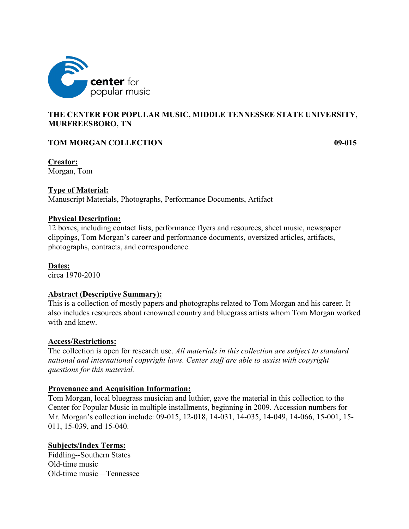

# **THE CENTER FOR POPULAR MUSIC, MIDDLE TENNESSEE STATE UNIVERSITY, MURFREESBORO, TN**

# **TOM MORGAN COLLECTION 199-015**

**Creator:** Morgan, Tom

# **Type of Material:**

Manuscript Materials, Photographs, Performance Documents, Artifact

#### **Physical Description:**

12 boxes, including contact lists, performance flyers and resources, sheet music, newspaper clippings, Tom Morgan's career and performance documents, oversized articles, artifacts, photographs, contracts, and correspondence.

### **Dates:**

circa 1970-2010

# **Abstract (Descriptive Summary):**

This is a collection of mostly papers and photographs related to Tom Morgan and his career. It also includes resources about renowned country and bluegrass artists whom Tom Morgan worked with and knew.

# **Access/Restrictions:**

The collection is open for research use. *All materials in this collection are subject to standard national and international copyright laws. Center staff are able to assist with copyright questions for this material.*

# **Provenance and Acquisition Information:**

Tom Morgan, local bluegrass musician and luthier, gave the material in this collection to the Center for Popular Music in multiple installments, beginning in 2009. Accession numbers for Mr. Morgan's collection include: 09-015, 12-018, 14-031, 14-035, 14-049, 14-066, 15-001, 15- 011, 15-039, and 15-040.

# **Subjects/Index Terms:**

Fiddling--Southern States Old-time music Old-time music—Tennessee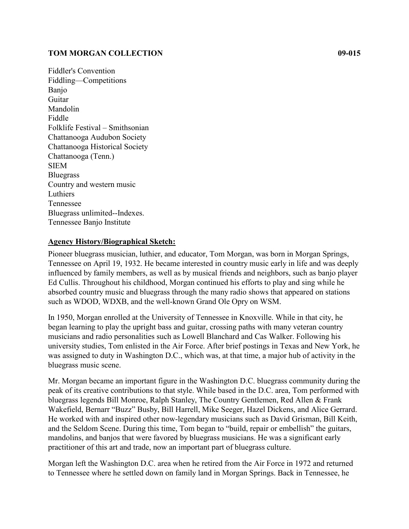Fiddler's Convention Fiddling—Competitions Banjo Guitar Mandolin Fiddle Folklife Festival – Smithsonian Chattanooga Audubon Society Chattanooga Historical Society Chattanooga (Tenn.) SIEM Bluegrass Country and western music Luthiers Tennessee Bluegrass unlimited--Indexes. Tennessee Banjo Institute

# **Agency History/Biographical Sketch:**

Pioneer bluegrass musician, luthier, and educator, Tom Morgan, was born in Morgan Springs, Tennessee on April 19, 1932. He became interested in country music early in life and was deeply influenced by family members, as well as by musical friends and neighbors, such as banjo player Ed Cullis. Throughout his childhood, Morgan continued his efforts to play and sing while he absorbed country music and bluegrass through the many radio shows that appeared on stations such as WDOD, WDXB, and the well-known Grand Ole Opry on WSM.

In 1950, Morgan enrolled at the University of Tennessee in Knoxville. While in that city, he began learning to play the upright bass and guitar, crossing paths with many veteran country musicians and radio personalities such as Lowell Blanchard and Cas Walker. Following his university studies, Tom enlisted in the Air Force. After brief postings in Texas and New York, he was assigned to duty in Washington D.C., which was, at that time, a major hub of activity in the bluegrass music scene.

Mr. Morgan became an important figure in the Washington D.C. bluegrass community during the peak of its creative contributions to that style. While based in the D.C. area, Tom performed with bluegrass legends Bill Monroe, Ralph Stanley, The Country Gentlemen, Red Allen & Frank Wakefield, Bernarr "Buzz" Busby, Bill Harrell, Mike Seeger, Hazel Dickens, and Alice Gerrard. He worked with and inspired other now-legendary musicians such as David Grisman, Bill Keith, and the Seldom Scene. During this time, Tom began to "build, repair or embellish" the guitars, mandolins, and banjos that were favored by bluegrass musicians. He was a significant early practitioner of this art and trade, now an important part of bluegrass culture.

Morgan left the Washington D.C. area when he retired from the Air Force in 1972 and returned to Tennessee where he settled down on family land in Morgan Springs. Back in Tennessee, he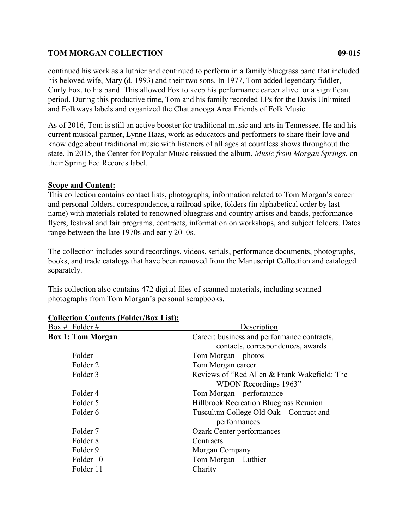continued his work as a luthier and continued to perform in a family bluegrass band that included his beloved wife, Mary (d. 1993) and their two sons. In 1977, Tom added legendary fiddler, Curly Fox, to his band. This allowed Fox to keep his performance career alive for a significant period. During this productive time, Tom and his family recorded LPs for the Davis Unlimited and Folkways labels and organized the Chattanooga Area Friends of Folk Music.

As of 2016, Tom is still an active booster for traditional music and arts in Tennessee. He and his current musical partner, Lynne Haas, work as educators and performers to share their love and knowledge about traditional music with listeners of all ages at countless shows throughout the state. In 2015, the Center for Popular Music reissued the album, *Music from Morgan Springs*, on their Spring Fed Records label.

# **Scope and Content:**

This collection contains contact lists, photographs, information related to Tom Morgan's career and personal folders, correspondence, a railroad spike, folders (in alphabetical order by last name) with materials related to renowned bluegrass and country artists and bands, performance flyers, festival and fair programs, contracts, information on workshops, and subject folders. Dates range between the late 1970s and early 2010s.

The collection includes sound recordings, videos, serials, performance documents, photographs, books, and trade catalogs that have been removed from the Manuscript Collection and cataloged separately.

This collection also contains 472 digital files of scanned materials, including scanned photographs from Tom Morgan's personal scrapbooks.

| Box # Folder #           | Description                                  |
|--------------------------|----------------------------------------------|
| <b>Box 1: Tom Morgan</b> | Career: business and performance contracts,  |
|                          | contacts, correspondences, awards            |
| Folder 1                 | Tom Morgan $-$ photos                        |
| Folder <sub>2</sub>      | Tom Morgan career                            |
| Folder 3                 | Reviews of "Red Allen & Frank Wakefield: The |
|                          | WDON Recordings 1963"                        |
| Folder 4                 | Tom Morgan – performance                     |
| Folder 5                 | Hillbrook Recreation Bluegrass Reunion       |
| Folder 6                 | Tusculum College Old Oak – Contract and      |
|                          | performances                                 |
| Folder 7                 | <b>Ozark Center performances</b>             |
| Folder 8                 | Contracts                                    |
| Folder 9                 | Morgan Company                               |
| Folder 10                | Tom Morgan – Luthier                         |
| Folder 11                | Charity                                      |
|                          |                                              |

# **Collection Contents (Folder/Box List):**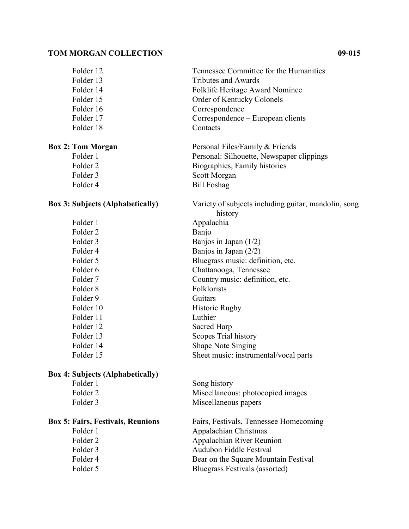| Folder 12 | Tennessee Committee for the Humanities |
|-----------|----------------------------------------|
| Folder 13 | <b>Tributes and Awards</b>             |
| Folder 14 | Folklife Heritage Award Nominee        |
| Folder 15 | Order of Kentucky Colonels             |
| Folder 16 | Correspondence                         |
| Folder 17 | Correspondence – European clients      |
| Folder 18 | Contacts                               |
|           |                                        |

Personal: Silhouette, Newspaper clippings

# **Box 2: Tom Morgan** Personal Files/Family & Friends<br>Folder 1 Personal: Silhouette, Newspaper

Folder 2 Biographies, Family histories Folder 3 Scott Morgan Folder 4 Bill Foshag

# **Box 3: Subjects (Alphabetically)** Variety of subjects including guitar, mandolin, song

|                     | history                               |
|---------------------|---------------------------------------|
| Folder 1            | Appalachia                            |
| Folder 2            | Banjo                                 |
| Folder 3            | Banjos in Japan $(1/2)$               |
| Folder <sub>4</sub> | Banjos in Japan $(2/2)$               |
| Folder 5            | Bluegrass music: definition, etc.     |
| Folder 6            | Chattanooga, Tennessee                |
| Folder 7            | Country music: definition, etc.       |
| Folder <sub>8</sub> | Folklorists                           |
| Folder 9            | Guitars                               |
| Folder 10           | <b>Historic Rugby</b>                 |
| Folder 11           | Luthier                               |
| Folder 12           | Sacred Harp                           |
| Folder 13           | Scopes Trial history                  |
| Folder 14           | Shape Note Singing                    |
| Folder 15           | Sheet music: instrumental/vocal parts |

# **Box 4: Subjects (Alphabetically)**

| Folder 1 | Song history                      |
|----------|-----------------------------------|
| Folder 2 | Miscellaneous: photocopied images |
| Folder 3 | Miscellaneous papers              |
|          |                                   |

# **Box 5: Fairs, Festivals, Reunions** Fairs, Festivals, Tennessee Homecoming

| Folder 1 | Appalachian Christmas                |
|----------|--------------------------------------|
| Folder 2 | Appalachian River Reunion            |
| Folder 3 | Audubon Fiddle Festival              |
| Folder 4 | Bear on the Square Mountain Festival |
| Folder 5 | Bluegrass Festivals (assorted)       |
|          |                                      |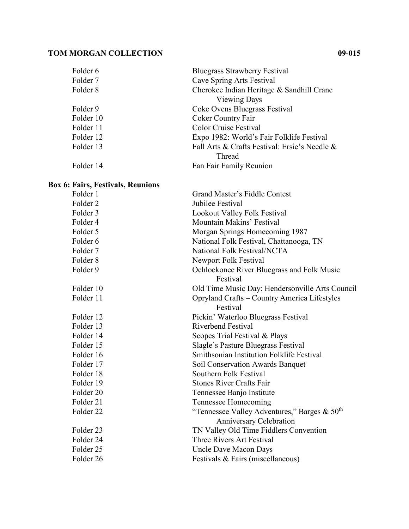| Folder 6  | <b>Bluegrass Strawberry Festival</b>          |
|-----------|-----------------------------------------------|
| Folder 7  | Cave Spring Arts Festival                     |
| Folder 8  | Cherokee Indian Heritage & Sandhill Crane     |
|           | Viewing Days                                  |
| Folder 9  | Coke Ovens Bluegrass Festival                 |
| Folder 10 | Coker Country Fair                            |
| Folder 11 | <b>Color Cruise Festival</b>                  |
| Folder 12 | Expo 1982: World's Fair Folklife Festival     |
| Folder 13 | Fall Arts & Crafts Festival: Ersie's Needle & |
|           | Thread                                        |
| Folder 14 | Fan Fair Family Reunion                       |

# **Box 6: Fairs, Festivals, Reunions**

| Folder 1             | Grand Master's Fiddle Contest                               |
|----------------------|-------------------------------------------------------------|
| Folder <sub>2</sub>  | Jubilee Festival                                            |
| Folder 3             | Lookout Valley Folk Festival                                |
| Folder <sub>4</sub>  | Mountain Makins' Festival                                   |
| Folder 5             | Morgan Springs Homecoming 1987                              |
| Folder 6             | National Folk Festival, Chattanooga, TN                     |
| Folder 7             | National Folk Festival/NCTA                                 |
| Folder <sub>8</sub>  | Newport Folk Festival                                       |
| Folder 9             | Ochlockonee River Bluegrass and Folk Music<br>Festival      |
| Folder 10            | Old Time Music Day: Hendersonville Arts Council             |
| Folder 11            | Opryland Crafts - Country America Lifestyles                |
|                      | Festival                                                    |
| Folder 12            | Pickin' Waterloo Bluegrass Festival                         |
| Folder 13            | Riverbend Festival                                          |
| Folder 14            | Scopes Trial Festival & Plays                               |
| Folder 15            | Slagle's Pasture Bluegrass Festival                         |
| Folder 16            | Smithsonian Institution Folklife Festival                   |
| Folder 17            | Soil Conservation Awards Banquet                            |
| Folder 18            | Southern Folk Festival                                      |
| Folder 19            | <b>Stones River Crafts Fair</b>                             |
| Folder 20            | Tennessee Banjo Institute                                   |
| Folder 21            | Tennessee Homecoming                                        |
| Folder <sub>22</sub> | "Tennessee Valley Adventures," Barges $\&$ 50 <sup>th</sup> |
|                      | Anniversary Celebration                                     |
| Folder <sub>23</sub> | TN Valley Old Time Fiddlers Convention                      |
| Folder 24            | Three Rivers Art Festival                                   |
| Folder 25            | Uncle Dave Macon Days                                       |
| Folder 26            | Festivals & Fairs (miscellaneous)                           |
|                      |                                                             |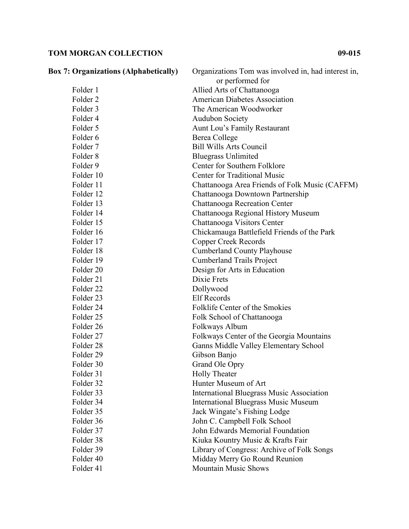# **Box 7: Organizations (Alphabetically)** Organizations Tom was involved in, had interest in, or performed for Folder 1 Allied Arts of Chattanooga Folder 2 **American Diabetes Association** Folder 3 The American Woodworker Folder 4 Audubon Society Folder 5 Aunt Lou's Family Restaurant Folder 6 Berea College Folder 7 Bill Wills Arts Council Folder 8 Bluegrass Unlimited Folder 9 Center for Southern Folklore Folder 10 Center for Traditional Music Folder 11 Chattanooga Area Friends of Folk Music (CAFFM) Folder 12 Chattanooga Downtown Partnership Folder 13 Chattanooga Recreation Center Folder 14 Chattanooga Regional History Museum Folder 15 Chattanooga Visitors Center Folder 16 Chickamauga Battlefield Friends of the Park Folder 17 Copper Creek Records Folder 18 Cumberland County Playhouse Folder 19 Cumberland Trails Project Folder 20 Design for Arts in Education Folder 21 Dixie Frets Folder 22 Dollywood Folder 23 Elf Records Folder 24 Folklife Center of the Smokies Folder 25 Folk School of Chattanooga Folder 26 Folkways Album Folder 27 **Folkways Center of the Georgia Mountains** Folder 28 Ganns Middle Valley Elementary School Folder 29 Gibson Banjo Folder 30 Grand Ole Opry Folder 31 Holly Theater Folder 32 Hunter Museum of Art Folder 33 International Bluegrass Music Association Folder 34 **International Bluegrass Music Museum** Folder 35 Jack Wingate's Fishing Lodge Folder 36 John C. Campbell Folk School Folder 37 John Edwards Memorial Foundation Folder 38 Kiuka Kountry Music & Krafts Fair Folder 39 Library of Congress: Archive of Folk Songs Folder 40 Midday Merry Go Round Reunion Folder 41 Mountain Music Shows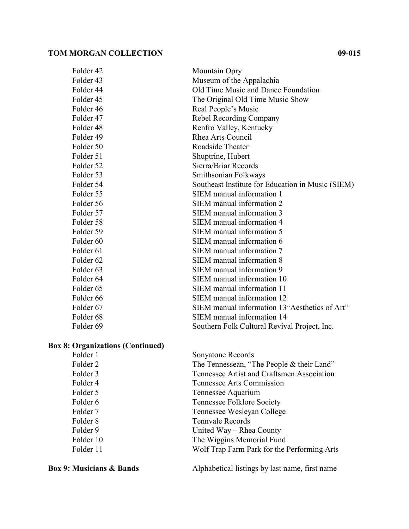| Folder 42            | Mountain Opry                                     |
|----------------------|---------------------------------------------------|
| Folder 43            | Museum of the Appalachia                          |
| Folder 44            | Old Time Music and Dance Foundation               |
| Folder 45            | The Original Old Time Music Show                  |
| Folder 46            | Real People's Music                               |
| Folder 47            | Rebel Recording Company                           |
| Folder 48            | Renfro Valley, Kentucky                           |
| Folder 49            | Rhea Arts Council                                 |
| Folder 50            | Roadside Theater                                  |
| Folder 51            | Shuptrine, Hubert                                 |
| Folder 52            | Sierra/Briar Records                              |
| Folder 53            | Smithsonian Folkways                              |
| Folder 54            | Southeast Institute for Education in Music (SIEM) |
| Folder 55            | SIEM manual information 1                         |
| Folder 56            | SIEM manual information 2                         |
| Folder 57            | SIEM manual information 3                         |
| Folder 58            | SIEM manual information 4                         |
| Folder 59            | SIEM manual information 5                         |
| Folder <sub>60</sub> | SIEM manual information 6                         |
| Folder 61            | SIEM manual information 7                         |
| Folder <sub>62</sub> | SIEM manual information 8                         |
| Folder <sub>63</sub> | SIEM manual information 9                         |
| Folder <sub>64</sub> | SIEM manual information 10                        |
| Folder <sub>65</sub> | SIEM manual information 11                        |
| Folder 66            | SIEM manual information 12                        |
| Folder <sub>67</sub> | SIEM manual information 13"Aesthetics of Art"     |
| Folder <sub>68</sub> | SIEM manual information 14                        |
| Folder <sub>69</sub> | Southern Folk Cultural Revival Project, Inc.      |

# **Box 8: Organizations (Continued)**

| Folder 1  | Sonyatone Records                           |
|-----------|---------------------------------------------|
| Folder 2  | The Tennessean, "The People & their Land"   |
| Folder 3  | Tennessee Artist and Craftsmen Association  |
| Folder 4  | Tennessee Arts Commission                   |
| Folder 5  | Tennessee Aquarium                          |
| Folder 6  | Tennessee Folklore Society                  |
| Folder 7  | Tennessee Wesleyan College                  |
| Folder 8  | Tennvale Records                            |
| Folder 9  | United Way - Rhea County                    |
| Folder 10 | The Wiggins Memorial Fund                   |
| Folder 11 | Wolf Trap Farm Park for the Performing Arts |
|           |                                             |

**Box 9: Musicians & Bands** Alphabetical listings by last name, first name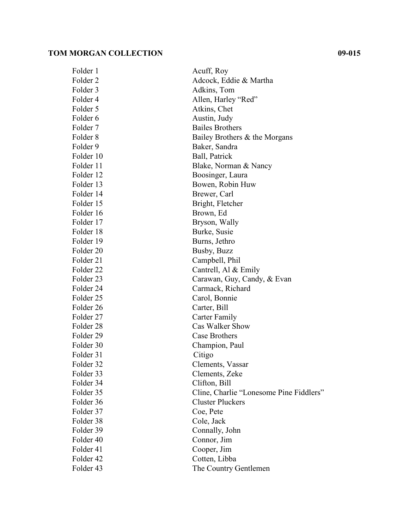| Folder 1             | Acuff, Roy                              |
|----------------------|-----------------------------------------|
| Folder <sub>2</sub>  | Adcock, Eddie & Martha                  |
| Folder 3             | Adkins, Tom                             |
| Folder 4             | Allen, Harley "Red"                     |
| Folder 5             | Atkins, Chet                            |
| Folder 6             | Austin, Judy                            |
| Folder 7             | <b>Bailes Brothers</b>                  |
| Folder <sub>8</sub>  | Bailey Brothers & the Morgans           |
| Folder 9             | Baker, Sandra                           |
| Folder 10            | Ball, Patrick                           |
| Folder 11            | Blake, Norman & Nancy                   |
| Folder 12            | Boosinger, Laura                        |
| Folder 13            | Bowen, Robin Huw                        |
| Folder 14            | Brewer, Carl                            |
| Folder 15            | Bright, Fletcher                        |
| Folder 16            | Brown, Ed                               |
| Folder 17            | Bryson, Wally                           |
| Folder 18            | Burke, Susie                            |
| Folder 19            | Burns, Jethro                           |
| Folder 20            | Busby, Buzz                             |
| Folder 21            | Campbell, Phil                          |
| Folder <sub>22</sub> | Cantrell, Al & Emily                    |
| Folder <sub>23</sub> | Carawan, Guy, Candy, & Evan             |
| Folder 24            | Carmack, Richard                        |
| Folder 25            | Carol, Bonnie                           |
| Folder 26            | Carter, Bill                            |
| Folder 27            | Carter Family                           |
| Folder 28            | Cas Walker Show                         |
| Folder 29            | Case Brothers                           |
| Folder 30            | Champion, Paul                          |
| Folder 31            | Citigo                                  |
| Folder 32            | Clements, Vassar                        |
| Folder 33            | Clements, Zeke                          |
| Folder 34            | Clifton, Bill                           |
| Folder 35            | Cline, Charlie "Lonesome Pine Fiddlers" |
| Folder 36            | <b>Cluster Pluckers</b>                 |
| Folder 37            | Coe, Pete                               |
| Folder 38            | Cole, Jack                              |
| Folder 39            | Connally, John                          |
| Folder 40            | Connor, Jim                             |
| Folder 41            | Cooper, Jim                             |
| Folder 42            | Cotten, Libba                           |
| Folder 43            | The Country Gentlemen                   |
|                      |                                         |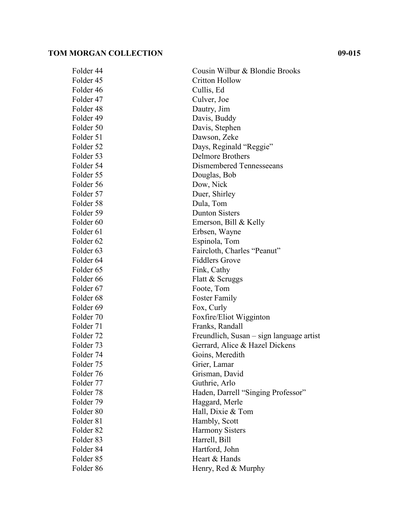| Folder 44            | Cousin Wilbur & Blondie Brooks           |
|----------------------|------------------------------------------|
| Folder 45            | <b>Critton Hollow</b>                    |
| Folder 46            | Cullis, Ed                               |
| Folder 47            | Culver, Joe                              |
| Folder 48            | Dautry, Jim                              |
| Folder 49            | Davis, Buddy                             |
| Folder 50            | Davis, Stephen                           |
| Folder 51            | Dawson, Zeke                             |
| Folder 52            | Days, Reginald "Reggie"                  |
| Folder 53            | <b>Delmore Brothers</b>                  |
| Folder 54            | Dismembered Tennesseeans                 |
| Folder 55            | Douglas, Bob                             |
| Folder 56            | Dow, Nick                                |
| Folder 57            | Duer, Shirley                            |
| Folder 58            | Dula, Tom                                |
| Folder 59            | <b>Dunton Sisters</b>                    |
| Folder <sub>60</sub> | Emerson, Bill & Kelly                    |
| Folder 61            | Erbsen, Wayne                            |
| Folder <sub>62</sub> | Espinola, Tom                            |
| Folder <sub>63</sub> | Faircloth, Charles "Peanut"              |
| Folder <sub>64</sub> | <b>Fiddlers Grove</b>                    |
| Folder <sub>65</sub> | Fink, Cathy                              |
| Folder <sub>66</sub> | Flatt & Scruggs                          |
| Folder 67            | Foote, Tom                               |
| Folder <sub>68</sub> | <b>Foster Family</b>                     |
| Folder <sub>69</sub> | Fox, Curly                               |
| Folder 70            | Foxfire/Eliot Wigginton                  |
| Folder 71            | Franks, Randall                          |
| Folder 72            | Freundlich, Susan – sign language artist |
| Folder 73            | Gerrard, Alice & Hazel Dickens           |
| Folder 74            | Goins, Meredith                          |
| Folder 75            | Grier, Lamar                             |
| Folder 76            | Grisman, David                           |
| Folder 77            | Guthrie, Arlo                            |
| Folder 78            | Haden, Darrell "Singing Professor"       |
| Folder 79            | Haggard, Merle                           |
| Folder 80            | Hall, Dixie & Tom                        |
| Folder 81            | Hambly, Scott                            |
| Folder <sub>82</sub> | <b>Harmony Sisters</b>                   |
| Folder <sub>83</sub> | Harrell, Bill                            |
| Folder <sub>84</sub> | Hartford, John                           |
| Folder 85            | Heart & Hands                            |
| Folder 86            | Henry, Red & Murphy                      |
|                      |                                          |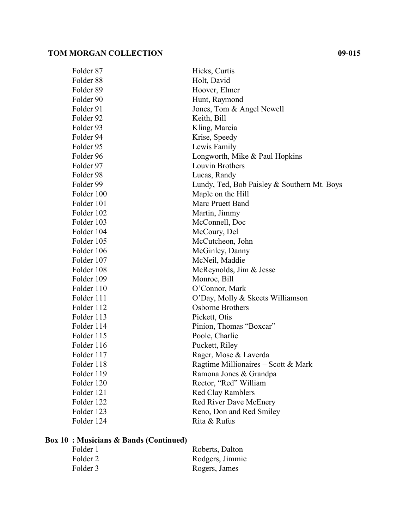| Folder <sub>87</sub> | Hicks, Curtis                               |
|----------------------|---------------------------------------------|
| Folder <sub>88</sub> | Holt, David                                 |
| Folder 89            | Hoover, Elmer                               |
| Folder 90            | Hunt, Raymond                               |
| Folder 91            | Jones, Tom & Angel Newell                   |
| Folder 92            | Keith, Bill                                 |
| Folder 93            | Kling, Marcia                               |
| Folder 94            | Krise, Speedy                               |
| Folder 95            | Lewis Family                                |
| Folder 96            | Longworth, Mike & Paul Hopkins              |
| Folder 97            | Louvin Brothers                             |
| Folder 98            | Lucas, Randy                                |
| Folder 99            | Lundy, Ted, Bob Paisley & Southern Mt. Boys |
| Folder 100           | Maple on the Hill                           |
| Folder 101           | Marc Pruett Band                            |
| Folder 102           | Martin, Jimmy                               |
| Folder 103           | McConnell, Doc                              |
| Folder 104           | McCoury, Del                                |
| Folder 105           | McCutcheon, John                            |
| Folder 106           | McGinley, Danny                             |
| Folder 107           | McNeil, Maddie                              |
| Folder 108           | McReynolds, Jim & Jesse                     |
| Folder 109           | Monroe, Bill                                |
| Folder 110           | O'Connor, Mark                              |
| Folder 111           | O'Day, Molly & Skeets Williamson            |
| Folder 112           | <b>Osborne Brothers</b>                     |
| Folder 113           | Pickett, Otis                               |
| Folder 114           | Pinion, Thomas "Boxcar"                     |
| Folder 115           | Poole, Charlie                              |
| Folder 116           | Puckett, Riley                              |
| Folder 117           | Rager, Mose & Laverda                       |
| Folder 118           | Ragtime Millionaires - Scott & Mark         |
| Folder 119           | Ramona Jones & Grandpa                      |
| Folder 120           | Rector, "Red" William                       |
| Folder 121           | Red Clay Ramblers                           |
| Folder 122           | Red River Dave McEnery                      |
| Folder 123           | Reno, Don and Red Smiley                    |
| Folder 124           | Rita & Rufus                                |
|                      |                                             |

#### **Box 10 : Musicians & Bands (Continued)**

| Roberts, Dalton |
|-----------------|
| Rodgers, Jimmie |
| Rogers, James   |
|                 |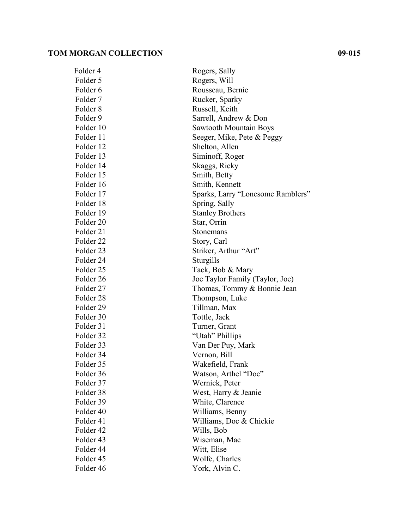| Folder <sub>4</sub>  | Rogers, Sally                     |
|----------------------|-----------------------------------|
| Folder 5             | Rogers, Will                      |
| Folder 6             | Rousseau, Bernie                  |
| Folder 7             | Rucker, Sparky                    |
| Folder <sub>8</sub>  | Russell, Keith                    |
| Folder 9             | Sarrell, Andrew & Don             |
| Folder 10            | <b>Sawtooth Mountain Boys</b>     |
| Folder 11            | Seeger, Mike, Pete & Peggy        |
| Folder 12            | Shelton, Allen                    |
| Folder 13            | Siminoff, Roger                   |
| Folder 14            | Skaggs, Ricky                     |
| Folder 15            | Smith, Betty                      |
| Folder 16            | Smith, Kennett                    |
| Folder 17            | Sparks, Larry "Lonesome Ramblers" |
| Folder 18            | Spring, Sally                     |
| Folder 19            | <b>Stanley Brothers</b>           |
| Folder <sub>20</sub> | Star, Orrin                       |
| Folder 21            | Stonemans                         |
| Folder <sub>22</sub> | Story, Carl                       |
| Folder 23            | Striker, Arthur "Art"             |
| Folder <sub>24</sub> | Sturgills                         |
| Folder <sub>25</sub> | Tack, Bob & Mary                  |
| Folder 26            | Joe Taylor Family (Taylor, Joe)   |
| Folder 27            | Thomas, Tommy & Bonnie Jean       |
| Folder <sub>28</sub> | Thompson, Luke                    |
| Folder 29            | Tillman, Max                      |
| Folder 30            | Tottle, Jack                      |
| Folder 31            | Turner, Grant                     |
| Folder 32            | "Utah" Phillips                   |
| Folder 33            | Van Der Puy, Mark                 |
| Folder 34            | Vernon, Bill                      |
| Folder 35            | Wakefield, Frank                  |
| Folder 36            | Watson, Arthel "Doc"              |
| Folder 37            | Wernick, Peter                    |
| Folder 38            | West, Harry & Jeanie              |
| Folder 39            | White, Clarence                   |
| Folder 40            | Williams, Benny                   |
| Folder 41            | Williams, Doc & Chickie           |
| Folder 42            | Wills, Bob                        |
| Folder 43            | Wiseman, Mac                      |
| Folder 44            | Witt, Elise                       |
| Folder 45            | Wolfe, Charles                    |
| Folder 46            | York, Alvin C.                    |
|                      |                                   |